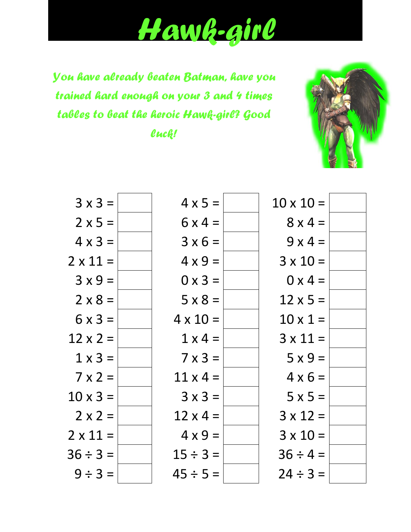## *Hawk-girl*

*You have already beaten Batman, have you trained hard enough on your 3 and 4 times tables to beat the heroic Hawk-girl? Good luck!*



| $3x3=$          | $4 \times 5 =$  | $10 \times 10 =$ |
|-----------------|-----------------|------------------|
| $2 \times 5 =$  | $6x4 =$         | $8 \times 4 =$   |
| $4 \times 3 =$  | $3 \times 6 =$  | $9x4=$           |
| $2 \times 11 =$ | $4 \times 9 =$  | $3 \times 10 =$  |
| $3x9=$          | $0 \times 3 =$  | $0 \times 4 =$   |
| $2 \times 8 =$  | $5 \times 8 =$  | $12 \times 5 =$  |
| $6 \times 3 =$  | $4 \times 10 =$ | $10 \times 1 =$  |
| $12 \times 2 =$ | $1 \times 4 =$  | $3 \times 11 =$  |
| $1 \times 3 =$  | $7 \times 3 =$  | $5x9=$           |
| $7 \times 2 =$  | $11 \times 4 =$ | $4 \times 6 =$   |
| $10 \times 3 =$ | $3x3=$          | $5x5=$           |
| $2 \times 2 =$  | $12 \times 4 =$ | $3 \times 12 =$  |
| $2 \times 11 =$ | $4 \times 9 =$  | $3 \times 10 =$  |
| $36 \div 3 =$   | $15 \div 3 =$   | $36 \div 4 =$    |
| $9 \div 3 =$    | $45 \div 5 =$   | $24 \div 3 =$    |